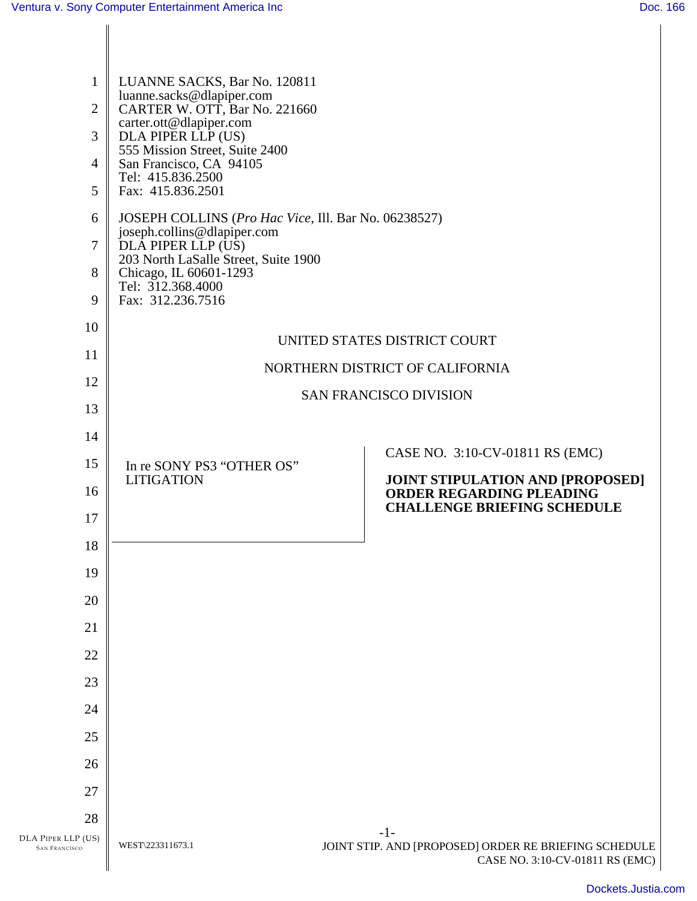DLA PIPER

| LUANNE SACKS, Bar No. 120811<br>$\mathbf{1}$<br>luanne.sacks@dlapiper.com<br>CARTER W. OTT, Bar No. 221660<br>$\overline{2}$<br>carter.ott@dlapiper.com<br>DLA PIPER LLP (US)<br>3<br>555 Mission Street, Suite 2400<br>San Francisco, CA 94105<br>$\overline{4}$<br>Tel: 415.836.2500<br>5<br>Fax: 415.836.2501<br>JOSEPH COLLINS (Pro Hac Vice, Ill. Bar No. 06238527)<br>6<br>joseph.collins@dlapiper.com<br>$\overline{7}$<br>DLÂ PIPER LLP (US)<br>203 North LaSalle Street, Suite 1900<br>Chicago, IL 60601-1293<br>8<br>Tel: 312.368.4000<br>Fax: 312.236.7516<br>9<br>10<br>UNITED STATES DISTRICT COURT<br>11<br>NORTHERN DISTRICT OF CALIFORNIA<br>12<br><b>SAN FRANCISCO DIVISION</b><br>13<br>14<br>CASE NO. 3:10-CV-01811 RS (EMC)<br>15<br>In re SONY PS3 "OTHER OS"<br>JOINT STIPULATION AND [PROPOSED]<br><b>LITIGATION</b><br>16<br><b>ORDER REGARDING PLEADING</b><br><b>CHALLENGE BRIEFING SCHEDULE</b><br>17<br>18<br>19<br>20 |
|----------------------------------------------------------------------------------------------------------------------------------------------------------------------------------------------------------------------------------------------------------------------------------------------------------------------------------------------------------------------------------------------------------------------------------------------------------------------------------------------------------------------------------------------------------------------------------------------------------------------------------------------------------------------------------------------------------------------------------------------------------------------------------------------------------------------------------------------------------------------------------------------------------------------------------------------------|
|                                                                                                                                                                                                                                                                                                                                                                                                                                                                                                                                                                                                                                                                                                                                                                                                                                                                                                                                                    |
|                                                                                                                                                                                                                                                                                                                                                                                                                                                                                                                                                                                                                                                                                                                                                                                                                                                                                                                                                    |
|                                                                                                                                                                                                                                                                                                                                                                                                                                                                                                                                                                                                                                                                                                                                                                                                                                                                                                                                                    |
|                                                                                                                                                                                                                                                                                                                                                                                                                                                                                                                                                                                                                                                                                                                                                                                                                                                                                                                                                    |
|                                                                                                                                                                                                                                                                                                                                                                                                                                                                                                                                                                                                                                                                                                                                                                                                                                                                                                                                                    |
|                                                                                                                                                                                                                                                                                                                                                                                                                                                                                                                                                                                                                                                                                                                                                                                                                                                                                                                                                    |
|                                                                                                                                                                                                                                                                                                                                                                                                                                                                                                                                                                                                                                                                                                                                                                                                                                                                                                                                                    |
|                                                                                                                                                                                                                                                                                                                                                                                                                                                                                                                                                                                                                                                                                                                                                                                                                                                                                                                                                    |
|                                                                                                                                                                                                                                                                                                                                                                                                                                                                                                                                                                                                                                                                                                                                                                                                                                                                                                                                                    |
|                                                                                                                                                                                                                                                                                                                                                                                                                                                                                                                                                                                                                                                                                                                                                                                                                                                                                                                                                    |
|                                                                                                                                                                                                                                                                                                                                                                                                                                                                                                                                                                                                                                                                                                                                                                                                                                                                                                                                                    |
|                                                                                                                                                                                                                                                                                                                                                                                                                                                                                                                                                                                                                                                                                                                                                                                                                                                                                                                                                    |
| 21                                                                                                                                                                                                                                                                                                                                                                                                                                                                                                                                                                                                                                                                                                                                                                                                                                                                                                                                                 |
| 22                                                                                                                                                                                                                                                                                                                                                                                                                                                                                                                                                                                                                                                                                                                                                                                                                                                                                                                                                 |
| 23                                                                                                                                                                                                                                                                                                                                                                                                                                                                                                                                                                                                                                                                                                                                                                                                                                                                                                                                                 |
| 24                                                                                                                                                                                                                                                                                                                                                                                                                                                                                                                                                                                                                                                                                                                                                                                                                                                                                                                                                 |
| 25                                                                                                                                                                                                                                                                                                                                                                                                                                                                                                                                                                                                                                                                                                                                                                                                                                                                                                                                                 |
| 26                                                                                                                                                                                                                                                                                                                                                                                                                                                                                                                                                                                                                                                                                                                                                                                                                                                                                                                                                 |
| 27                                                                                                                                                                                                                                                                                                                                                                                                                                                                                                                                                                                                                                                                                                                                                                                                                                                                                                                                                 |
| 28<br>$-1-$<br>A PIPER LLP (US)<br>WEST\223311673.1<br>JOINT STIP. AND [PROPOSED] ORDER RE BRIEFING SCHEDULE<br><b>SAN FRANCISCO</b><br>CASE NO. 3:10-CV-01811 RS (EMC)                                                                                                                                                                                                                                                                                                                                                                                                                                                                                                                                                                                                                                                                                                                                                                            |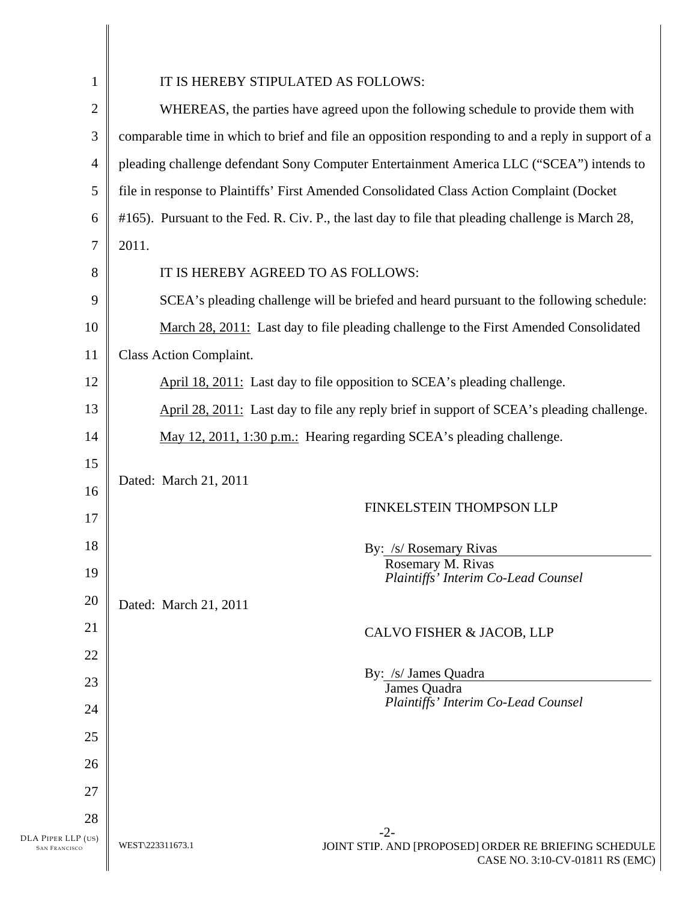| $\mathbf{1}$                               | IT IS HEREBY STIPULATED AS FOLLOWS:                                                                          |
|--------------------------------------------|--------------------------------------------------------------------------------------------------------------|
| $\mathbf{2}$                               | WHEREAS, the parties have agreed upon the following schedule to provide them with                            |
| 3                                          | comparable time in which to brief and file an opposition responding to and a reply in support of a           |
| 4                                          | pleading challenge defendant Sony Computer Entertainment America LLC ("SCEA") intends to                     |
| 5                                          | file in response to Plaintiffs' First Amended Consolidated Class Action Complaint (Docket                    |
| 6                                          | #165). Pursuant to the Fed. R. Civ. P., the last day to file that pleading challenge is March 28,            |
| 7                                          | 2011.                                                                                                        |
| 8                                          | IT IS HEREBY AGREED TO AS FOLLOWS:                                                                           |
| 9                                          | SCEA's pleading challenge will be briefed and heard pursuant to the following schedule:                      |
| 10                                         | March 28, 2011: Last day to file pleading challenge to the First Amended Consolidated                        |
| 11                                         | <b>Class Action Complaint.</b>                                                                               |
| 12                                         | April 18, 2011: Last day to file opposition to SCEA's pleading challenge.                                    |
| 13                                         | April 28, 2011: Last day to file any reply brief in support of SCEA's pleading challenge.                    |
| 14                                         | May 12, 2011, 1:30 p.m.: Hearing regarding SCEA's pleading challenge.                                        |
| 15                                         |                                                                                                              |
| 16                                         | Dated: March 21, 2011                                                                                        |
| 17                                         | FINKELSTEIN THOMPSON LLP                                                                                     |
| 18                                         | By: /s/ Rosemary Rivas                                                                                       |
| 19                                         | Rosemary M. Rivas<br>Plaintiffs' Interim Co-Lead Counsel                                                     |
| 20                                         | Dated: March 21, 2011                                                                                        |
| 21                                         | CALVO FISHER & JACOB, LLP                                                                                    |
| 22                                         |                                                                                                              |
| 23                                         | By: /s/ James Quadra<br>James Quadra                                                                         |
| 24                                         | Plaintiffs' Interim Co-Lead Counsel                                                                          |
| 25                                         |                                                                                                              |
| 26                                         |                                                                                                              |
| 27                                         |                                                                                                              |
| 28                                         | $-2-$                                                                                                        |
| DLA PIPER LLP (US)<br><b>SAN FRANCISCO</b> | WEST\223311673.1<br>JOINT STIP. AND [PROPOSED] ORDER RE BRIEFING SCHEDULE<br>CASE NO. 3:10-CV-01811 RS (EMC) |
|                                            |                                                                                                              |

 $\parallel$